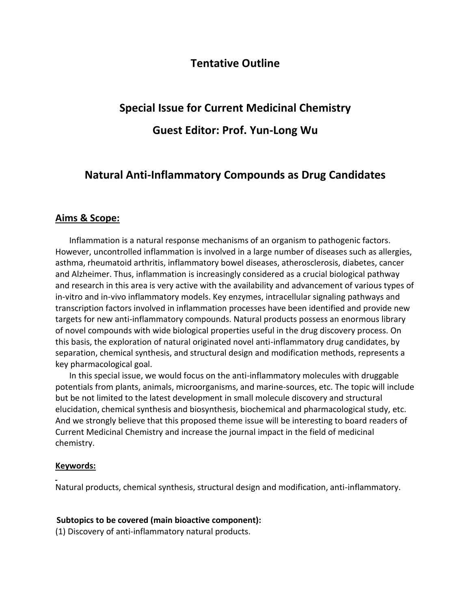## **Tentative Outline**

# **Special Issue for Current Medicinal Chemistry**

## **Guest Editor: Prof. Yun-Long Wu**

# **Natural Anti-Inflammatory Compounds as Drug Candidates**

### **Aims & Scope:**

Inflammation is a natural response mechanisms of an organism to pathogenic factors. However, uncontrolled inflammation is involved in a large number of diseases such as allergies, asthma, rheumatoid arthritis, inflammatory bowel diseases, atherosclerosis, diabetes, cancer and Alzheimer. Thus, inflammation is increasingly considered as a crucial biological pathway and research in this area is very active with the availability and advancement of various types of in-vitro and in-vivo inflammatory models. Key enzymes, intracellular signaling pathways and transcription factors involved in inflammation processes have been identified and provide new targets for new anti-inflammatory compounds. Natural products possess an enormous library of novel compounds with wide biological properties useful in the drug discovery process. On this basis, the exploration of natural originated novel anti-inflammatory drug candidates, by separation, chemical synthesis, and structural design and modification methods, represents a key pharmacological goal.

In this special issue, we would focus on the anti-inflammatory molecules with druggable potentials from plants, animals, microorganisms, and marine-sources, etc. The topic will include but be not limited to the latest development in small molecule discovery and structural elucidation, chemical synthesis and biosynthesis, biochemical and pharmacological study, etc. And we strongly believe that this proposed theme issue will be interesting to board readers of Current Medicinal Chemistry and increase the journal impact in the field of medicinal chemistry.

#### **Keywords:**

Natural products, chemical synthesis, structural design and modification, anti-inflammatory.

#### **Subtopics to be covered (main bioactive component):**

(1) Discovery of anti-inflammatory natural products.